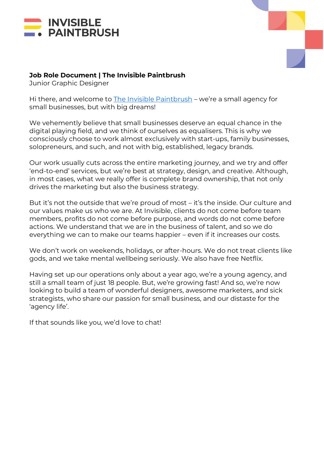



### **Job Role Document | The Invisible Paintbrush**

Junior Graphic Designer

Hi there, and welcome to [The Invisible Paintbrush](http://www.theinvisiblepaintbrush.com/) – we're a small agency for small businesses, but with big dreams!

We vehemently believe that small businesses deserve an equal chance in the digital playing field, and we think of ourselves as equalisers. This is why we consciously choose to work almost exclusively with start-ups, family businesses, solopreneurs, and such, and not with big, established, legacy brands.

Our work usually cuts across the entire marketing journey, and we try and offer 'end-to-end' services, but we're best at strategy, design, and creative. Although, in most cases, what we really offer is complete brand ownership, that not only drives the marketing but also the business strategy.

But it's not the outside that we're proud of most – it's the inside. Our culture and our values make us who we are. At Invisible, clients do not come before team members, profits do not come before purpose, and words do not come before actions. We understand that we are in the business of talent, and so we do everything we can to make our teams happier – even if it increases our costs.

We don't work on weekends, holidays, or after-hours. We do not treat clients like gods, and we take mental wellbeing seriously. We also have free Netflix.

Having set up our operations only about a year ago, we're a young agency, and still a small team of just 18 people. But, we're growing fast! And so, we're now looking to build a team of wonderful designers, awesome marketers, and sick strategists, who share our passion for small business, and our distaste for the 'agency life'.

If that sounds like you, we'd love to chat!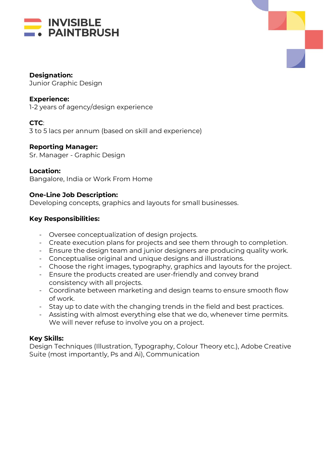



#### **Designation:**

Junior Graphic Design

#### **Experience:**

1-2 years of agency/design experience

# **CTC**:

3 to 5 lacs per annum (based on skill and experience)

#### **Reporting Manager:**

Sr. Manager - Graphic Design

#### **Location:**

Bangalore, India or Work From Home

## **One-Line Job Description:**

Developing concepts, graphics and layouts for small businesses.

#### **Key Responsibilities:**

- Oversee conceptualization of design projects.
- Create execution plans for projects and see them through to completion.
- Ensure the design team and junior designers are producing quality work.
- Conceptualise original and unique designs and illustrations.
- Choose the right images, typography, graphics and layouts for the project.
- Ensure the products created are user-friendly and convey brand consistency with all projects.
- Coordinate between marketing and design teams to ensure smooth flow of work.
- Stay up to date with the changing trends in the field and best practices.
- Assisting with almost everything else that we do, whenever time permits. We will never refuse to involve you on a project.

## **Key Skills:**

Design Techniques (Illustration, Typography, Colour Theory etc.), Adobe Creative Suite (most importantly, Ps and Ai), Communication